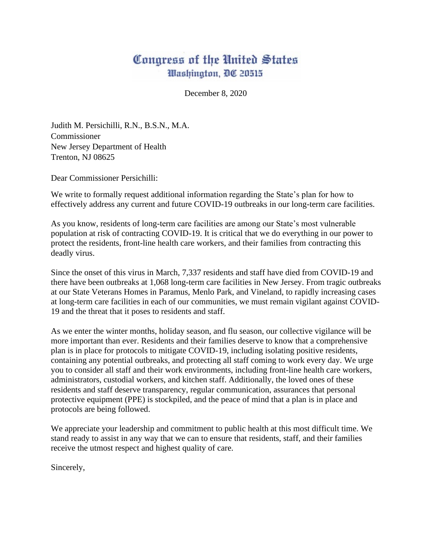## Congress of the United States Washington, DC 20515

December 8, 2020

Judith M. Persichilli, R.N., B.S.N., M.A. Commissioner New Jersey Department of Health Trenton, NJ 08625

Dear Commissioner Persichilli:

We write to formally request additional information regarding the State's plan for how to effectively address any current and future COVID-19 outbreaks in our long-term care facilities.

As you know, residents of long-term care facilities are among our State's most vulnerable population at risk of contracting COVID-19. It is critical that we do everything in our power to protect the residents, front-line health care workers, and their families from contracting this deadly virus.

Since the onset of this virus in March, 7,337 residents and staff have died from COVID-19 and there have been outbreaks at 1,068 long-term care facilities in New Jersey. From tragic outbreaks at our State Veterans Homes in Paramus, Menlo Park, and Vineland, to rapidly increasing cases at long-term care facilities in each of our communities, we must remain vigilant against COVID-19 and the threat that it poses to residents and staff.

As we enter the winter months, holiday season, and flu season, our collective vigilance will be more important than ever. Residents and their families deserve to know that a comprehensive plan is in place for protocols to mitigate COVID-19, including isolating positive residents, containing any potential outbreaks, and protecting all staff coming to work every day. We urge you to consider all staff and their work environments, including front-line health care workers, administrators, custodial workers, and kitchen staff. Additionally, the loved ones of these residents and staff deserve transparency, regular communication, assurances that personal protective equipment (PPE) is stockpiled, and the peace of mind that a plan is in place and protocols are being followed.

We appreciate your leadership and commitment to public health at this most difficult time. We stand ready to assist in any way that we can to ensure that residents, staff, and their families receive the utmost respect and highest quality of care.

Sincerely,